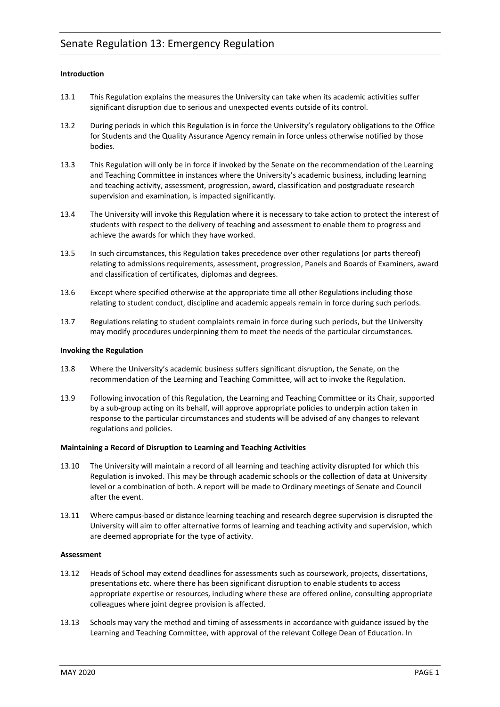# **Introduction**

- 13.1 This Regulation explains the measures the University can take when its academic activities suffer significant disruption due to serious and unexpected events outside of its control.
- 13.2 During periods in which this Regulation is in force the University's regulatory obligations to the Office for Students and the Quality Assurance Agency remain in force unless otherwise notified by those bodies.
- 13.3 This Regulation will only be in force if invoked by the Senate on the recommendation of the Learning and Teaching Committee in instances where the University's academic business, including learning and teaching activity, assessment, progression, award, classification and postgraduate research supervision and examination, is impacted significantly.
- 13.4 The University will invoke this Regulation where it is necessary to take action to protect the interest of students with respect to the delivery of teaching and assessment to enable them to progress and achieve the awards for which they have worked.
- 13.5 In such circumstances, this Regulation takes precedence over other regulations (or parts thereof) relating to admissions requirements, assessment, progression, Panels and Boards of Examiners, award and classification of certificates, diplomas and degrees.
- 13.6 Except where specified otherwise at the appropriate time all other Regulations including those relating to student conduct, discipline and academic appeals remain in force during such periods.
- 13.7 Regulations relating to student complaints remain in force during such periods, but the University may modify procedures underpinning them to meet the needs of the particular circumstances.

# **Invoking the Regulation**

- 13.8 Where the University's academic business suffers significant disruption, the Senate, on the recommendation of the Learning and Teaching Committee, will act to invoke the Regulation.
- 13.9 Following invocation of this Regulation, the Learning and Teaching Committee or its Chair, supported by a sub-group acting on its behalf, will approve appropriate policies to underpin action taken in response to the particular circumstances and students will be advised of any changes to relevant regulations and policies.

# **Maintaining a Record of Disruption to Learning and Teaching Activities**

- 13.10 The University will maintain a record of all learning and teaching activity disrupted for which this Regulation is invoked. This may be through academic schools or the collection of data at University level or a combination of both. A report will be made to Ordinary meetings of Senate and Council after the event.
- 13.11 Where campus-based or distance learning teaching and research degree supervision is disrupted the University will aim to offer alternative forms of learning and teaching activity and supervision, which are deemed appropriate for the type of activity.

# **Assessment**

- 13.12 Heads of School may extend deadlines for assessments such as coursework, projects, dissertations, presentations etc. where there has been significant disruption to enable students to access appropriate expertise or resources, including where these are offered online, consulting appropriate colleagues where joint degree provision is affected.
- 13.13 Schools may vary the method and timing of assessments in accordance with guidance issued by the Learning and Teaching Committee, with approval of the relevant College Dean of Education. In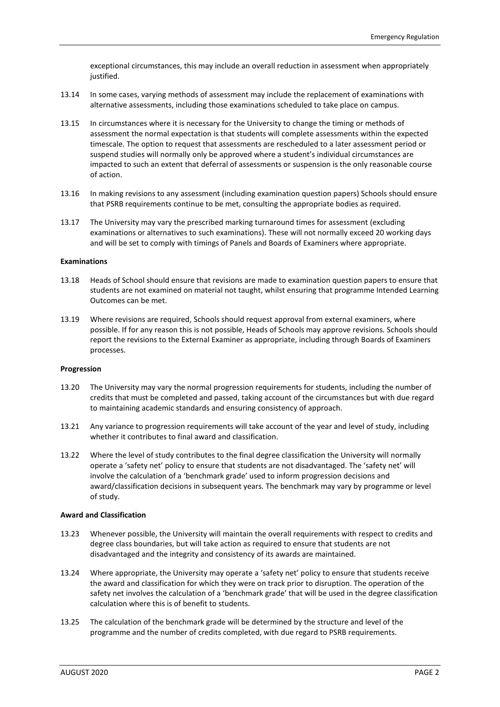exceptional circumstances, this may include an overall reduction in assessment when appropriately justified.

- 13.14 In some cases, varying methods of assessment may include the replacement of examinations with alternative assessments, including those examinations scheduled to take place on campus.
- 13.15 In circumstances where it is necessary for the University to change the timing or methods of assessment the normal expectation is that students will complete assessments within the expected timescale. The option to request that assessments are rescheduled to a later assessment period or suspend studies will normally only be approved where a student's individual circumstances are impacted to such an extent that deferral of assessments or suspension is the only reasonable course of action.
- 13.16 In making revisions to any assessment (including examination question papers) Schools should ensure that PSRB requirements continue to be met, consulting the appropriate bodies as required.
- 13.17 The University may vary the prescribed marking turnaround times for assessment (excluding examinations or alternatives to such examinations). These will not normally exceed 20 working days and will be set to comply with timings of Panels and Boards of Examiners where appropriate.

# **Examinations**

- 13.18 Heads of School should ensure that revisions are made to examination question papers to ensure that students are not examined on material not taught, whilst ensuring that programme Intended Learning Outcomes can be met.
- 13.19 Where revisions are required, Schools should request approval from external examiners, where possible. If for any reason this is not possible, Heads of Schools may approve revisions. Schools should report the revisions to the External Examiner as appropriate, including through Boards of Examiners processes.

### **Progression**

- 13.20 The University may vary the normal progression requirements for students, including the number of credits that must be completed and passed, taking account of the circumstances but with due regard to maintaining academic standards and ensuring consistency of approach.
- 13.21 Any variance to progression requirements will take account of the year and level of study, including whether it contributes to final award and classification.
- 13.22 Where the level of study contributes to the final degree classification the University will normally operate a 'safety net' policy to ensure that students are not disadvantaged. The 'safety net' will involve the calculation of a 'benchmark grade' used to inform progression decisions and award/classification decisions in subsequent years. The benchmark may vary by programme or level of study.

### **Award and Classification**

- 13.23 Whenever possible, the University will maintain the overall requirements with respect to credits and degree class boundaries, but will take action as required to ensure that students are not disadvantaged and the integrity and consistency of its awards are maintained.
- 13.24 Where appropriate, the University may operate a 'safety net' policy to ensure that students receive the award and classification for which they were on track prior to disruption. The operation of the safety net involves the calculation of a 'benchmark grade' that will be used in the degree classification calculation where this is of benefit to students.
- 13.25 The calculation of the benchmark grade will be determined by the structure and level of the programme and the number of credits completed, with due regard to PSRB requirements.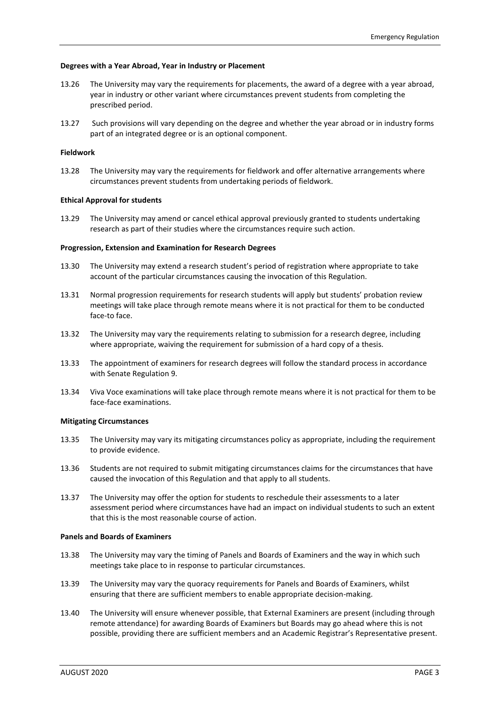# **Degrees with a Year Abroad, Year in Industry or Placement**

- 13.26 The University may vary the requirements for placements, the award of a degree with a year abroad, year in industry or other variant where circumstances prevent students from completing the prescribed period.
- 13.27 Such provisions will vary depending on the degree and whether the year abroad or in industry forms part of an integrated degree or is an optional component.

# **Fieldwork**

13.28 The University may vary the requirements for fieldwork and offer alternative arrangements where circumstances prevent students from undertaking periods of fieldwork.

### **Ethical Approval for students**

13.29 The University may amend or cancel ethical approval previously granted to students undertaking research as part of their studies where the circumstances require such action.

### **Progression, Extension and Examination for Research Degrees**

- 13.30 The University may extend a research student's period of registration where appropriate to take account of the particular circumstances causing the invocation of this Regulation.
- 13.31 Normal progression requirements for research students will apply but students' probation review meetings will take place through remote means where it is not practical for them to be conducted face-to face.
- 13.32 The University may vary the requirements relating to submission for a research degree, including where appropriate, waiving the requirement for submission of a hard copy of a thesis.
- 13.33 The appointment of examiners for research degrees will follow the standard process in accordance with Senate Regulation 9.
- 13.34 Viva Voce examinations will take place through remote means where it is not practical for them to be face-face examinations.

### **Mitigating Circumstances**

- 13.35 The University may vary its mitigating circumstances policy as appropriate, including the requirement to provide evidence.
- 13.36 Students are not required to submit mitigating circumstances claims for the circumstances that have caused the invocation of this Regulation and that apply to all students.
- 13.37 The University may offer the option for students to reschedule their assessments to a later assessment period where circumstances have had an impact on individual students to such an extent that this is the most reasonable course of action.

### **Panels and Boards of Examiners**

- 13.38 The University may vary the timing of Panels and Boards of Examiners and the way in which such meetings take place to in response to particular circumstances.
- 13.39 The University may vary the quoracy requirements for Panels and Boards of Examiners, whilst ensuring that there are sufficient members to enable appropriate decision-making.
- 13.40 The University will ensure whenever possible, that External Examiners are present (including through remote attendance) for awarding Boards of Examiners but Boards may go ahead where this is not possible, providing there are sufficient members and an Academic Registrar's Representative present.